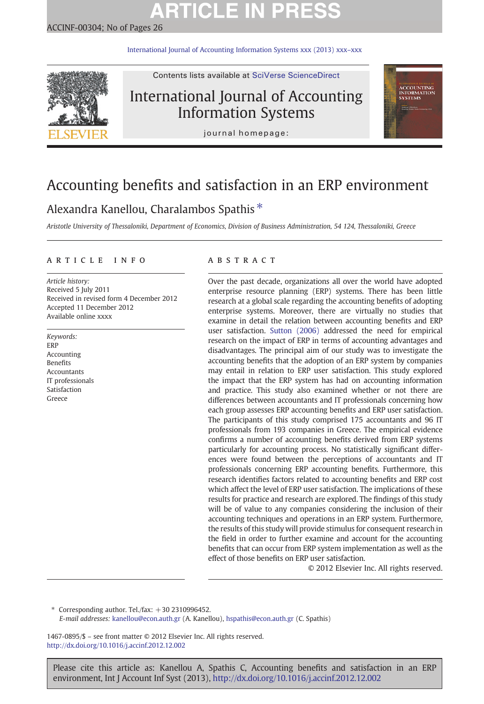ACCINF-00304; No of Pages 26

# **ARTICLE IN PRESS**

[International Journal of Accounting Information Systems xxx \(2013\) xxx](http://dx.doi.org/10.1016/j.accinf.2012.12.002)–xxx



Contents lists available at SciVerse ScienceDirect

### International Journal of Accounting Information Systems



journal homepage:

## Accounting benefits and satisfaction in an ERP environment

### Alexandra Kanellou, Charalambos Spathis  $*$

Aristotle University of Thessaloniki, Department of Economics, Division of Business Administration, 54 124, Thessaloniki, Greece

### article info abstract

Article history: Received 5 July 2011 Received in revised form 4 December 2012 Accepted 11 December 2012 Available online xxxx

Keywords: ERP Accounting Benefits Accountants IT professionals Satisfaction Greece

Over the past decade, organizations all over the world have adopted enterprise resource planning (ERP) systems. There has been little research at a global scale regarding the accounting benefits of adopting enterprise systems. Moreover, there are virtually no studies that examine in detail the relation between accounting benefits and ERP user satisfaction. [Sutton \(2006\)](#page--1-0) addressed the need for empirical research on the impact of ERP in terms of accounting advantages and disadvantages. The principal aim of our study was to investigate the accounting benefits that the adoption of an ERP system by companies may entail in relation to ERP user satisfaction. This study explored the impact that the ERP system has had on accounting information and practice. This study also examined whether or not there are differences between accountants and IT professionals concerning how each group assesses ERP accounting benefits and ERP user satisfaction. The participants of this study comprised 175 accountants and 96 IT professionals from 193 companies in Greece. The empirical evidence confirms a number of accounting benefits derived from ERP systems particularly for accounting process. No statistically significant differences were found between the perceptions of accountants and IT professionals concerning ERP accounting benefits. Furthermore, this research identifies factors related to accounting benefits and ERP cost which affect the level of ERP user satisfaction. The implications of these results for practice and research are explored. The findings of this study will be of value to any companies considering the inclusion of their accounting techniques and operations in an ERP system. Furthermore, the results of this study will provide stimulus for consequent research in the field in order to further examine and account for the accounting benefits that can occur from ERP system implementation as well as the effect of those benefits on ERP user satisfaction.

© 2012 Elsevier Inc. All rights reserved.

Corresponding author. Tel./fax:  $+30$  2310996452. E-mail addresses: [kanellou@econ.auth.gr](mailto:kanellou@econ.auth.gr) (A. Kanellou), [hspathis@econ.auth.gr](mailto:hspathis@econ.auth.gr) (C. Spathis)

1467-0895/\$ – see front matter © 2012 Elsevier Inc. All rights reserved. <http://dx.doi.org/10.1016/j.accinf.2012.12.002>

Please cite this article as: Kanellou A, Spathis C, Accounting benefits and satisfaction in an ERP environment, Int J Account Inf Syst (2013), <http://dx.doi.org/10.1016/j.accinf.2012.12.002>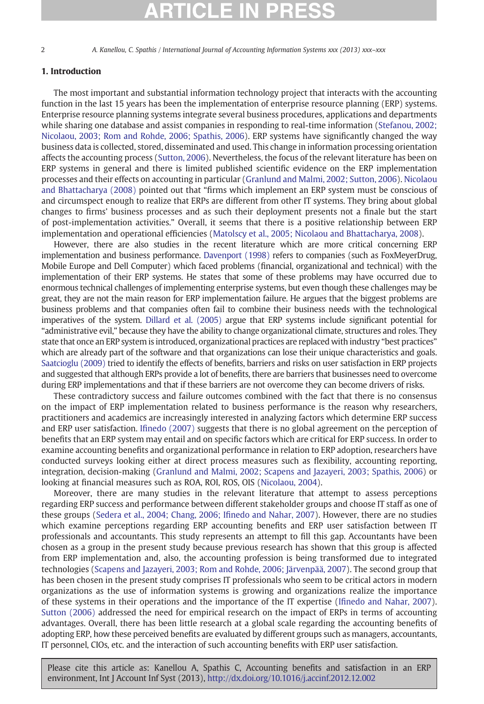# **ARTICLE IN**

2 A. Kanellou, C. Spathis / International Journal of Accounting Information Systems xxx (2013) xxx-xxx

### 1. Introduction

The most important and substantial information technology project that interacts with the accounting function in the last 15 years has been the implementation of enterprise resource planning (ERP) systems. Enterprise resource planning systems integrate several business procedures, applications and departments while sharing one database and assist companies in responding to real-time information ([Stefanou, 2002;](#page--1-0) [Nicolaou, 2003; Rom and Rohde, 2006; Spathis, 2006](#page--1-0)). ERP systems have significantly changed the way business data is collected, stored, disseminated and used. This change in information processing orientation affects the accounting process ([Sutton, 2006\)](#page--1-0). Nevertheless, the focus of the relevant literature has been on ERP systems in general and there is limited published scientific evidence on the ERP implementation processes and their effects on accounting in particular ([Granlund and Malmi, 2002; Sutton, 2006\)](#page--1-0). [Nicolaou](#page--1-0) [and Bhattacharya \(2008\)](#page--1-0) pointed out that "firms which implement an ERP system must be conscious of and circumspect enough to realize that ERPs are different from other IT systems. They bring about global changes to firms' business processes and as such their deployment presents not a finale but the start of post-implementation activities." Overall, it seems that there is a positive relationship between ERP implementation and operational efficiencies ([Matolscy et al., 2005; Nicolaou and Bhattacharya, 2008\)](#page--1-0).

However, there are also studies in the recent literature which are more critical concerning ERP implementation and business performance. [Davenport \(1998\)](#page--1-0) refers to companies (such as FoxMeyerDrug, Mobile Europe and Dell Computer) which faced problems (financial, organizational and technical) with the implementation of their ERP systems. He states that some of these problems may have occurred due to enormous technical challenges of implementing enterprise systems, but even though these challenges may be great, they are not the main reason for ERP implementation failure. He argues that the biggest problems are business problems and that companies often fail to combine their business needs with the technological imperatives of the system. [Dillard et al. \(2005\)](#page--1-0) argue that ERP systems include significant potential for "administrative evil," because they have the ability to change organizational climate, structures and roles. They state that once an ERP system is introduced, organizational practices are replaced with industry "best practices" which are already part of the software and that organizations can lose their unique characteristics and goals. [Saatcioglu \(2009\)](#page--1-0) tried to identify the effects of benefits, barriers and risks on user satisfaction in ERP projects and suggested that although ERPs provide a lot of benefits, there are barriers that businesses need to overcome during ERP implementations and that if these barriers are not overcome they can become drivers of risks.

These contradictory success and failure outcomes combined with the fact that there is no consensus on the impact of ERP implementation related to business performance is the reason why researchers, practitioners and academics are increasingly interested in analyzing factors which determine ERP success and ERP user satisfaction. Ifi[nedo \(2007\)](#page--1-0) suggests that there is no global agreement on the perception of benefits that an ERP system may entail and on specific factors which are critical for ERP success. In order to examine accounting benefits and organizational performance in relation to ERP adoption, researchers have conducted surveys looking either at direct process measures such as flexibility, accounting reporting, integration, decision-making [\(Granlund and Malmi, 2002; Scapens and Jazayeri, 2003; Spathis, 2006\)](#page--1-0) or looking at financial measures such as ROA, ROI, ROS, OIS [\(Nicolaou,](#page--1-0) 2004).

Moreover, there are many studies in the relevant literature that attempt to assess perceptions regarding ERP success and performance between different stakeholder groups and choose IT staff as one of these groups [\(Sedera et al., 2004; Chang, 2006; I](#page--1-0)finedo and Nahar, 2007). However, there are no studies which examine perceptions regarding ERP accounting benefits and ERP user satisfaction between IT professionals and accountants. This study represents an attempt to fill this gap. Accountants have been chosen as a group in the present study because previous research has shown that this group is affected from ERP implementation and, also, the accounting profession is being transformed due to integrated technologies [\(Scapens and Jazayeri, 2003; Rom and Rohde, 2006; Järvenpää, 2007\)](#page--1-0). The second group that has been chosen in the present study comprises IT professionals who seem to be critical actors in modern organizations as the use of information systems is growing and organizations realize the importance of these systems in their operations and the importance of the IT expertise (Ifi[nedo and Nahar, 2007](#page--1-0)). [Sutton \(2006\)](#page--1-0) addressed the need for empirical research on the impact of ERPs in terms of accounting advantages. Overall, there has been little research at a global scale regarding the accounting benefits of adopting ERP, how these perceived benefits are evaluated by different groups such as managers, accountants, IT personnel, CIOs, etc. and the interaction of such accounting benefits with ERP user satisfaction.

Please cite this article as: Kanellou A, Spathis C, Accounting benefits and satisfaction in an ERP environment, Int J Account Inf Syst (2013), <http://dx.doi.org/10.1016/j.accinf.2012.12.002>